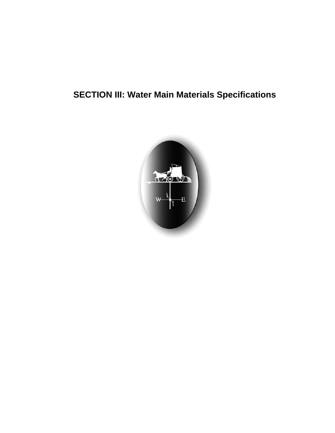# **SECTION III: Water Main Materials Specifications**

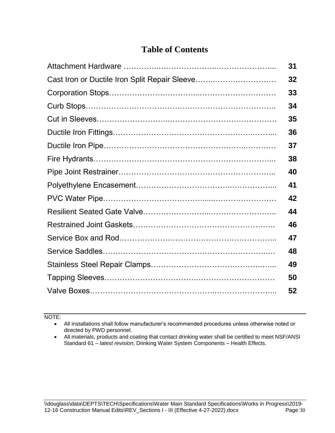## **Table of Contents**

| 31 |
|----|
| 32 |
| 33 |
| 34 |
| 35 |
| 36 |
| 37 |
| 38 |
| 40 |
| 41 |
| 42 |
| 44 |
| 46 |
| 47 |
| 48 |
| 49 |
| 50 |
| 52 |

NOTE:

 All installations shall follow manufacturer's recommended procedures unless otherwise noted or directed by PWD personnel.

 All materials, products and coating that contact drinking water shall be certified to meet NSF/ANSI Standard 61 – *latest revision*, Drinking Water System Components – Health Effects.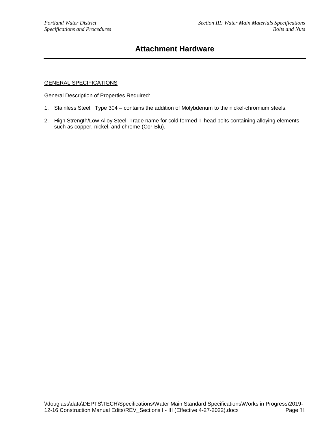### **Attachment Hardware**

### GENERAL SPECIFICATIONS

General Description of Properties Required:

- 1. Stainless Steel: Type 304 contains the addition of Molybdenum to the nickel-chromium steels.
- 2. High Strength/Low Alloy Steel: Trade name for cold formed T-head bolts containing alloying elements such as copper, nickel, and chrome (Cor-Blu).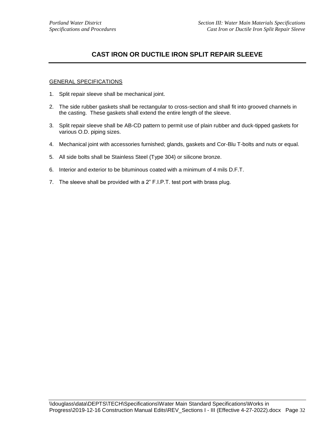### **CAST IRON OR DUCTILE IRON SPLIT REPAIR SLEEVE**

- 1. Split repair sleeve shall be mechanical joint.
- 2. The side rubber gaskets shall be rectangular to cross-section and shall fit into grooved channels in the casting. These gaskets shall extend the entire length of the sleeve.
- 3. Split repair sleeve shall be AB-CD pattern to permit use of plain rubber and duck-tipped gaskets for various O.D. piping sizes.
- 4. Mechanical joint with accessories furnished; glands, gaskets and Cor-Blu T-bolts and nuts or equal.
- 5. All side bolts shall be Stainless Steel (Type 304) or silicone bronze.
- 6. Interior and exterior to be bituminous coated with a minimum of 4 mils D.F.T.
- 7. The sleeve shall be provided with a 2" F.I.P.T. test port with brass plug.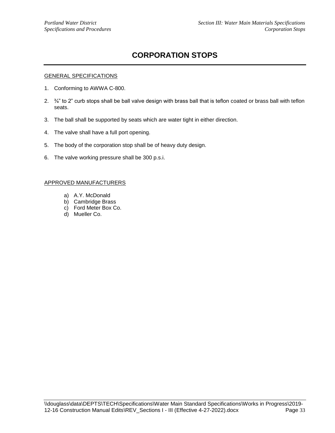## **CORPORATION STOPS**

### GENERAL SPECIFICATIONS

- 1. Conforming to AWWA C-800.
- 2. ¾" to 2" curb stops shall be ball valve design with brass ball that is teflon coated or brass ball with teflon seats.
- 3. The ball shall be supported by seats which are water tight in either direction.
- 4. The valve shall have a full port opening.
- 5. The body of the corporation stop shall be of heavy duty design.
- 6. The valve working pressure shall be 300 p.s.i.

- a) A.Y. McDonald
- b) Cambridge Brass
- c) Ford Meter Box Co.
- d) Mueller Co.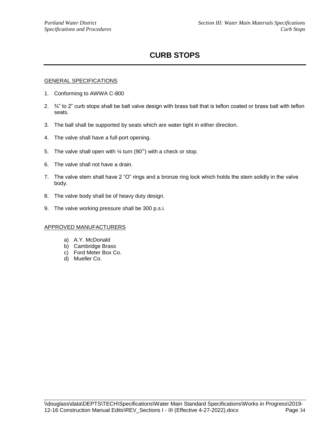## **CURB STOPS**

### GENERAL SPECIFICATIONS

- 1. Conforming to AWWA C-800
- 2.  $\frac{3}{4}$ " to 2" curb stops shall be ball valve design with brass ball that is teflon coated or brass ball with teflon seats.
- 3. The ball shall be supported by seats which are water tight in either direction.
- 4. The valve shall have a full-port opening.
- 5. The valve shall open with  $\frac{1}{4}$  turn (90 $\degree$ ) with a check or stop.
- 6. The valve shall not have a drain.
- 7. The valve stem shall have 2 "O" rings and a bronze ring lock which holds the stem solidly in the valve body.
- 8. The valve body shall be of heavy duty design.
- 9. The valve working pressure shall be 300 p.s.i.

- a) A.Y. McDonald
- b) Cambridge Brass
- c) Ford Meter Box Co.
- d) Mueller Co.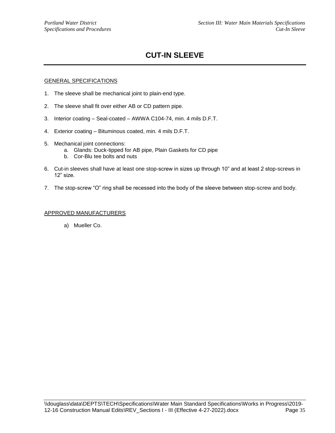## **CUT-IN SLEEVE**

### GENERAL SPECIFICATIONS

- 1. The sleeve shall be mechanical joint to plain-end type.
- 2. The sleeve shall fit over either AB or CD pattern pipe.
- 3. Interior coating Seal-coated AWWA C104-74, min. 4 mils D.F.T.
- 4. Exterior coating Bituminous coated, min. 4 mils D.F.T.
- 5. Mechanical joint connections:
	- a. Glands: Duck-tipped for AB pipe, Plain Gaskets for CD pipe
	- b. Cor-Blu tee bolts and nuts
- 6. Cut-in sleeves shall have at least one stop-screw in sizes up through 10" and at least 2 stop-screws in 12" size.
- 7. The stop-screw "O" ring shall be recessed into the body of the sleeve between stop-screw and body.

### APPROVED MANUFACTURERS

a) Mueller Co.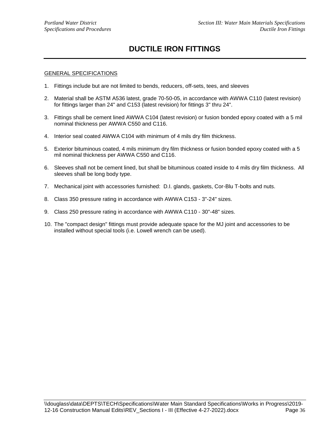### **DUCTILE IRON FITTINGS**

- 1. Fittings include but are not limited to bends, reducers, off-sets, tees, and sleeves
- 2. Material shall be ASTM A536 latest, grade 70-50-05, in accordance with AWWA C110 (latest revision) for fittings larger than 24" and C153 (latest revision) for fittings 3" thru 24".
- 3. Fittings shall be cement lined AWWA C104 (latest revision) or fusion bonded epoxy coated with a 5 mil nominal thickness per AWWA C550 and C116.
- 4. Interior seal coated AWWA C104 with minimum of 4 mils dry film thickness.
- 5. Exterior bituminous coated, 4 mils minimum dry film thickness or fusion bonded epoxy coated with a 5 mil nominal thickness per AWWA C550 and C116.
- 6. Sleeves shall not be cement lined, but shall be bituminous coated inside to 4 mils dry film thickness. All sleeves shall be long body type.
- 7. Mechanical joint with accessories furnished: D.I. glands, gaskets, Cor-Blu T-bolts and nuts.
- 8. Class 350 pressure rating in accordance with AWWA C153 3"-24" sizes.
- 9. Class 250 pressure rating in accordance with AWWA C110 30"-48" sizes.
- 10. The "compact design" fittings must provide adequate space for the MJ joint and accessories to be installed without special tools (i.e. Lowell wrench can be used).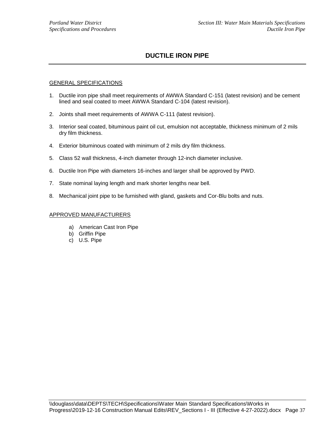### **DUCTILE IRON PIPE**

### GENERAL SPECIFICATIONS

- 1. Ductile iron pipe shall meet requirements of AWWA Standard C-151 (latest revision) and be cement lined and seal coated to meet AWWA Standard C-104 (latest revision).
- 2. Joints shall meet requirements of AWWA C-111 (latest revision).
- 3. Interior seal coated, bituminous paint oil cut, emulsion not acceptable, thickness minimum of 2 mils dry film thickness.
- 4. Exterior bituminous coated with minimum of 2 mils dry film thickness.
- 5. Class 52 wall thickness, 4-inch diameter through 12-inch diameter inclusive.
- 6. Ductile Iron Pipe with diameters 16-inches and larger shall be approved by PWD.
- 7. State nominal laying length and mark shorter lengths near bell.
- 8. Mechanical joint pipe to be furnished with gland, gaskets and Cor-Blu bolts and nuts.

- a) American Cast Iron Pipe
- b) Griffin Pipe
- c) U.S. Pipe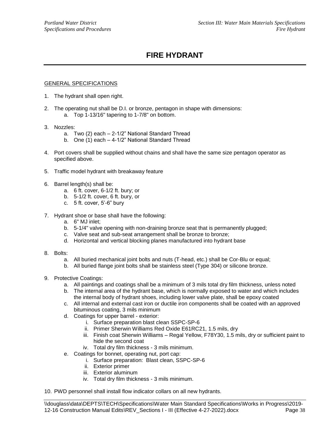## **FIRE HYDRANT**

- 1. The hydrant shall open right.
- 2. The operating nut shall be D.I. or bronze, pentagon in shape with dimensions: a. Top 1-13/16" tapering to 1-7/8" on bottom.
- 3. Nozzles:
	- a. Two (2) each 2-1/2" National Standard Thread
	- b. One (1) each 4-1/2" National Standard Thread
- 4. Port covers shall be supplied without chains and shall have the same size pentagon operator as specified above.
- 5. Traffic model hydrant with breakaway feature
- 6. Barrel length(s) shall be:
	- a. 6 ft. cover, 6-1/2 ft. bury; or
	- b. 5-1/2 ft. cover, 6 ft. bury, or
	- c. 5 ft. cover, 5'-6" bury
- 7. Hydrant shoe or base shall have the following:
	- a. 6" MJ inlet;
	- b. 5-1/4" valve opening with non-draining bronze seat that is permanently plugged;
	- c. Valve seat and sub-seat arrangement shall be bronze to bronze;
	- d. Horizontal and vertical blocking planes manufactured into hydrant base
- 8. Bolts:
	- a. All buried mechanical joint bolts and nuts (T-head, etc.) shall be Cor-Blu or equal;
	- b. All buried flange joint bolts shall be stainless steel (Type 304) or silicone bronze.
- 9. Protective Coatings:
	- a. All paintings and coatings shall be a minimum of 3 mils total dry film thickness, unless noted
	- b. The internal area of the hydrant base, which is normally exposed to water and which includes the internal body of hydrant shoes, including lower valve plate, shall be epoxy coated
	- c. All internal and external cast iron or ductile iron components shall be coated with an approved bituminous coating, 3 mils minimum
	- d. Coatings for upper barrel exterior:
		- i. Surface preparation blast clean SSPC-SP-6
		- ii. Primer Sherwin Williams Red Oxide E61RC21, 1.5 mils, dry
		- iii. Finish coat Sherwin Williams Regal Yellow, F78Y30, 1.5 mils, dry or sufficient paint to hide the second coat
		- iv. Total dry film thickness 3 mils minimum.
	- e. Coatings for bonnet, operating nut, port cap:
		- i. Surface preparation: Blast clean, SSPC-SP-6
		- ii. Exterior primer
		- iii. Exterior aluminum
		- iv. Total dry film thickness 3 mils minimum.
- 10. PWD personnel shall install flow indicator collars on all new hydrants.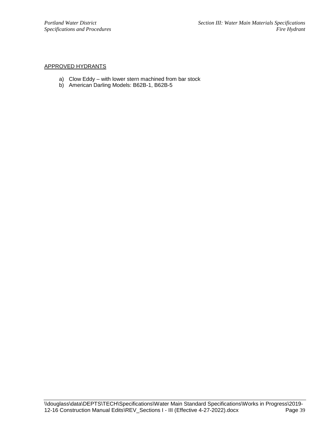### APPROVED HYDRANTS

- a) Clow Eddy with lower stern machined from bar stock
- b) American Darling Models: B62B-1, B62B-5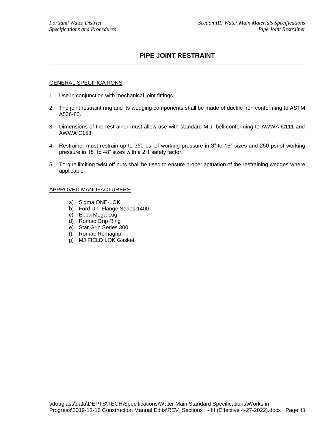### **PIPE JOINT RESTRAINT**

#### GENERAL SPECIFICATIONS

- 1. Use in conjunction with mechanical joint fittings.
- 2. The joint restraint ring and its wedging components shall be made of ductile iron conforming to ASTM A536-80.
- 3. Dimensions of the restrainer must allow use with standard M.J. bell conforming to AWWA C111 and AWWA C153.
- 4. Restrainer must restrain up to 350 psi of working pressure in 3" to 16" sizes and 250 psi of working pressure in 18" to 48" sizes with a 2:1 safety factor.
- 5. Torque limiting twist off nuts shall be used to ensure proper actuation of the restraining wedges where applicable

- a) Sigma ONE-LOK
- b) Ford Uni-Flange Series 1400
- c) Ebba Mega Lug
- d) Romac Grip Ring
- e) Star Grip Series 300
- f) Romac Romagrip
- g) MJ FIELD LOK Gasket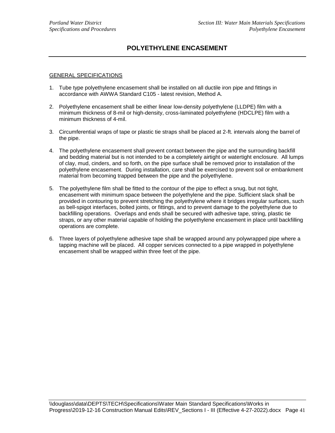### **POLYETHYLENE ENCASEMENT**

- 1. Tube type polyethylene encasement shall be installed on all ductile iron pipe and fittings in accordance with AWWA Standard C105 - latest revision, Method A.
- 2. Polyethylene encasement shall be either linear low-density polyethylene (LLDPE) film with a minimum thickness of 8-mil or high-density, cross-laminated polyethylene (HDCLPE) film with a minimum thickness of 4-mil.
- 3. Circumferential wraps of tape or plastic tie straps shall be placed at 2-ft. intervals along the barrel of the pipe.
- 4. The polyethylene encasement shall prevent contact between the pipe and the surrounding backfill and bedding material but is not intended to be a completely airtight or watertight enclosure. All lumps of clay, mud, cinders, and so forth, on the pipe surface shall be removed prior to installation of the polyethylene encasement. During installation, care shall be exercised to prevent soil or embankment material from becoming trapped between the pipe and the polyethylene.
- 5. The polyethylene film shall be fitted to the contour of the pipe to effect a snug, but not tight, encasement with minimum space between the polyethylene and the pipe. Sufficient slack shall be provided in contouring to prevent stretching the polyethylene where it bridges irregular surfaces, such as bell-spigot interfaces, bolted joints, or fittings, and to prevent damage to the polyethylene due to backfilling operations. Overlaps and ends shall be secured with adhesive tape, string, plastic tie straps, or any other material capable of holding the polyethylene encasement in place until backfilling operations are complete.
- 6. Three layers of polyethylene adhesive tape shall be wrapped around any polywrapped pipe where a tapping machine will be placed. All copper services connected to a pipe wrapped in polyethylene encasement shall be wrapped within three feet of the pipe.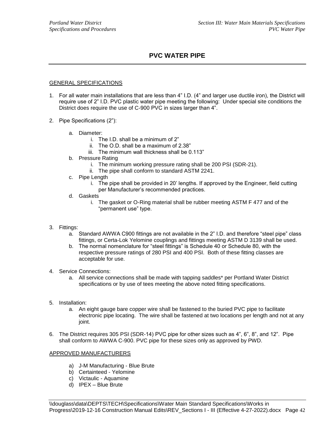### **PVC WATER PIPE**

### GENERAL SPECIFICATIONS

- 1. For all water main installations that are less than 4" I.D. (4" and larger use ductile iron), the District will require use of 2" I.D. PVC plastic water pipe meeting the following: Under special site conditions the District does require the use of C-900 PVC in sizes larger than 4".
- 2. Pipe Specifications (2"):
	- a. Diameter:
		- i. The I.D. shall be a minimum of 2"
		- ii. The O.D. shall be a maximum of 2.38"
		- iii. The minimum wall thickness shall be 0.113"
	- b. Pressure Rating
		- i. The minimum working pressure rating shall be 200 PSI (SDR-21).
		- ii. The pipe shall conform to standard ASTM 2241.
	- c. Pipe Length
		- i. The pipe shall be provided in 20' lengths. If approved by the Engineer, field cutting per Manufacturer's recommended practices.
	- d. Gaskets
		- i. The gasket or O-Ring material shall be rubber meeting ASTM F 477 and of the "permanent use" type.
- 3. Fittings:
	- a. Standard AWWA C900 fittings are not available in the 2" I.D. and therefore "steel pipe" class fittings, or Certa-Lok Yelomine couplings and fittings meeting ASTM D 3139 shall be used.
	- b. The normal nomenclature for "steel fittings" is Schedule 40 or Schedule 80, with the respective pressure ratings of 280 PSI and 400 PSI. Both of these fitting classes are acceptable for use.
- 4. Service Connections:
	- a. All service connections shall be made with tapping saddles\* per Portland Water District specifications or by use of tees meeting the above noted fitting specifications.
- 5. Installation:
	- a. An eight gauge bare copper wire shall be fastened to the buried PVC pipe to facilitate electronic pipe locating. The wire shall be fastened at two locations per length and not at any joint.
- 6. The District requires 305 PSI (SDR-14) PVC pipe for other sizes such as 4", 6", 8", and 12". Pipe shall conform to AWWA C-900. PVC pipe for these sizes only as approved by PWD.

- a) J-M Manufacturing Blue Brute
- b) Certainteed Yelomine
- c) Victaulic Aquamine
- d) IPEX Blue Brute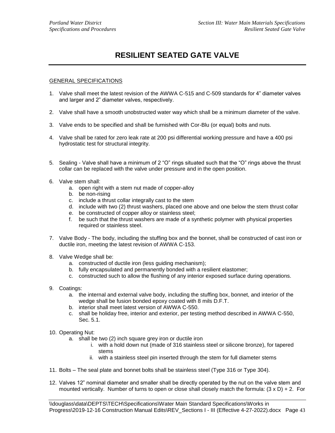## **RESILIENT SEATED GATE VALVE**

- 1. Valve shall meet the latest revision of the AWWA C-515 and C-509 standards for 4" diameter valves and larger and 2" diameter valves, respectively.
- 2. Valve shall have a smooth unobstructed water way which shall be a minimum diameter of the valve.
- 3. Valve ends to be specified and shall be furnished with Cor-Blu (or equal) bolts and nuts.
- 4. Valve shall be rated for zero leak rate at 200 psi differential working pressure and have a 400 psi hydrostatic test for structural integrity.
- 5. Sealing Valve shall have a minimum of 2 "O" rings situated such that the "O" rings above the thrust collar can be replaced with the valve under pressure and in the open position.
- 6. Valve stem shall:
	- a. open right with a stem nut made of copper-alloy
	- b. be non-rising
	- c. include a thrust collar integrally cast to the stem
	- d. include with two (2) thrust washers, placed one above and one below the stem thrust collar
	- e. be constructed of copper alloy or stainless steel;
	- f. be such that the thrust washers are made of a synthetic polymer with physical properties required or stainless steel.
- 7. Valve Body The body, including the stuffing box and the bonnet, shall be constructed of cast iron or ductile iron, meeting the latest revision of AWWA C-153.
- 8. Valve Wedge shall be:
	- a. constructed of ductile iron (less guiding mechanism);
	- b. fully encapsulated and permanently bonded with a resilient elastomer;
	- c. constructed such to allow the flushing of any interior exposed surface during operations.
- 9. Coatings:
	- a. the internal and external valve body, including the stuffing box, bonnet, and interior of the wedge shall be fusion bonded epoxy coated with 8 mils D.F.T.
	- b. interior shall meet latest version of AWWA C-550.
	- c. shall be holiday free, interior and exterior, per testing method described in AWWA C-550, Sec. 5.1.
- 10. Operating Nut:
	- a. shall be two (2) inch square grey iron or ductile iron
		- i. with a hold down nut (made of 316 stainless steel or silicone bronze), for tapered stems
		- ii. with a stainless steel pin inserted through the stem for full diameter stems
- 11. Bolts The seal plate and bonnet bolts shall be stainless steel (Type 316 or Type 304).
- 12. Valves 12" nominal diameter and smaller shall be directly operated by the nut on the valve stem and mounted vertically. Number of turns to open or close shall closely match the formula:  $(3 \times D) + 2$ . For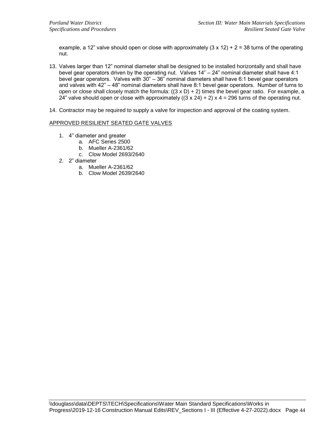example, a 12" valve should open or close with approximately  $(3 \times 12) + 2 = 38$  turns of the operating nut.

- 13. Valves larger than 12" nominal diameter shall be designed to be installed horizontally and shall have bevel gear operators driven by the operating nut. Valves 14" – 24" nominal diameter shall have 4:1 bevel gear operators. Valves with 30" – 36" nominal diameters shall have 6:1 bevel gear operators and valves with 42" – 48" nominal diameters shall have 8:1 bevel gear operators. Number of turns to open or close shall closely match the formula:  $((3 \times D) + 2)$  times the bevel gear ratio. For example, a 24" valve should open or close with approximately  $((3 \times 24) + 2) \times 4 = 296$  turns of the operating nut.
- 14. Contractor may be required to supply a valve for inspection and approval of the coating system.

### APPROVED RESILIENT SEATED GATE VALVES

- 1. 4" diameter and greater
	- a. AFC Series 2500
	- b. Mueller A-2361/62
	- c. Clow Model 2693/2640
- 2. 2" diameter
	- a. Mueller A-2361/62
	- b. Clow Model 2639/2640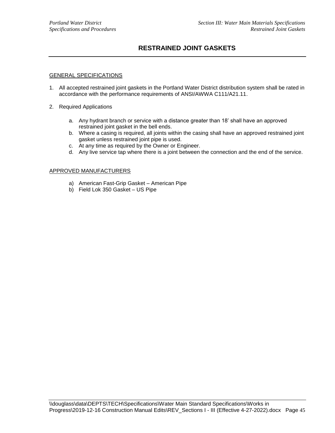### **RESTRAINED JOINT GASKETS**

### GENERAL SPECIFICATIONS

- 1. All accepted restrained joint gaskets in the Portland Water District distribution system shall be rated in accordance with the performance requirements of ANSI/AWWA C111/A21.11.
- 2. Required Applications
	- a. Any hydrant branch or service with a distance greater than 18' shall have an approved restrained joint gasket in the bell ends.
	- b. Where a casing is required, all joints within the casing shall have an approved restrained joint gasket unless restrained joint pipe is used.
	- c. At any time as required by the Owner or Engineer.
	- d. Any live service tap where there is a joint between the connection and the end of the service.

- a) American Fast-Grip Gasket American Pipe
- b) Field Lok 350 Gasket US Pipe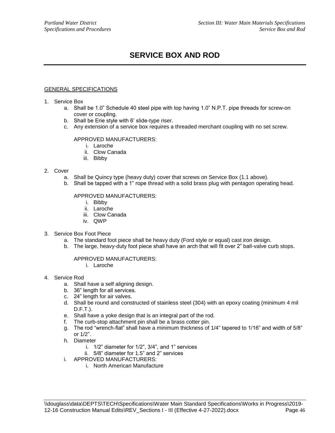## **SERVICE BOX AND ROD**

### GENERAL SPECIFICATIONS

- 1. Service Box
	- a. Shall be 1.0" Schedule 40 steel pipe with top having 1.0" N.P.T. pipe threads for screw-on cover or coupling.
	- b. Shall be Erie style with 6' slide-type riser.
	- c. Any extension of a service box requires a threaded merchant coupling with no set screw.

### APPROVED MANUFACTURERS:

- i. Laroche
- ii. Clow Canada
- iii. Bibby

#### 2. Cover

- a. Shall be Quincy type (heavy duty) cover that screws on Service Box (1.1 above).
- b. Shall be tapped with a 1" rope thread with a solid brass plug with pentagon operating head.

### APPROVED MANUFACTURERS:

- i. Bibby
- ii. Laroche
- iii. Clow Canada
- iv. QWP
- 3. Service Box Foot Piece
	- a. The standard foot piece shall be heavy duty (Ford style or equal) cast iron design.
	- b. The large, heavy-duty foot piece shall have an arch that will fit over 2" ball-valve curb stops.

- i. Laroche
- 4. Service Rod
	- a. Shall have a self aligning design.
	- b. 36" length for all services.
	- c. 24" length for air valves.
	- d. Shall be round and constructed of stainless steel (304) with an epoxy coating (minimum 4 mil D.F.T.).
	- e. Shall have a yoke design that is an integral part of the rod.
	- f. The curb-stop attachment pin shall be a brass cotter pin.
	- g. The rod "wrench-flat" shall have a minimum thickness of 1/4" tapered to 1/16" and width of 5/8" or 1/2".
	- h. Diameter
		- i. 1/2" diameter for 1/2", 3/4", and 1" services
		- ii. 5/8" diameter for 1.5" and 2" services
	- i. APPROVED MANUFACTURERS:
		- i. North American Manufacture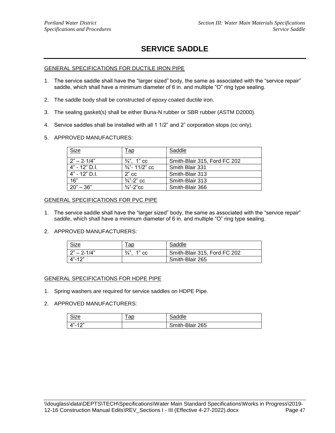## **SERVICE SADDLE**

### GENERAL SPECIFICATIONS FOR DUCTILE IRON PIPE

- 1. The service saddle shall have the "larger sized" body, the same as associated with the "service repair" saddle, which shall have a minimum diameter of 6 in. and multiple "O" ring type sealing.
- 2. The saddle body shall be constructed of epoxy coated ductile iron.
- 3. The sealing gasket(s) shall be either Buna-N rubber or SBR rubber (ASTM D2000).
- 4. Service saddles shall be installed with all 1 1/2" and 2" corporation stops (cc only).
- 5. APPROVED MANUFACTURES:

| Size            | <u>Tap</u>                | Saddle                       |
|-----------------|---------------------------|------------------------------|
| $2" - 2 - 1/4"$ | $\frac{3}{4}$ ". 1" cc    | Smith-Blair 315, Ford FC 202 |
| $4" - 12"$ D.L. | $\frac{3}{4}$ "- 11/2" cc | Smith Blair 331              |
| $4" - 12"$ D.I. | $2"$ cc                   | Smith-Blair 313              |
| 16"             | $\frac{3}{4}$ "-2" cc     | Smith-Blair 313              |
| $20" - 36"$     | $\frac{3}{4}$ "-2"cc      | Smith-Blair 366              |

#### GENERAL SPECIFICATIONS FOR PVC PIPE

- 1. The service saddle shall have the "larger sized" body, the same as associated with the "service repair" saddle, which shall have a minimum diameter of 6 in. and multiple "O" ring type sealing.
- 2. APPROVED MANUFACTURERS:

| Size            | <u>ap</u>              | Saddle                       |
|-----------------|------------------------|------------------------------|
| $2" - 2 - 1/4"$ | $\frac{3}{4}$<br>1" сс | Smith-Blair 315, Ford FC 202 |
| $4" - 12"$      |                        | Smith-Blair 265              |

### GENERAL SPECIFICATIONS FOR HDPE PIPE

1. Spring washers are required for service saddles on HDPE Pipe.

| <u>Size</u>           | or<br>au | addle           |
|-----------------------|----------|-----------------|
| $A$ "-12"<br><u>-</u> |          | Smith-Blair 265 |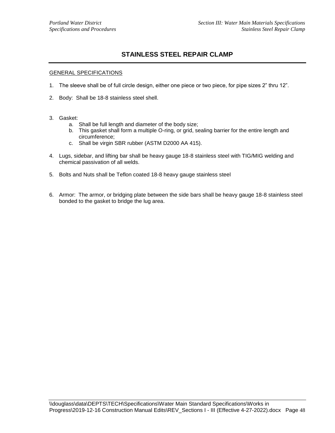### **STAINLESS STEEL REPAIR CLAMP**

- 1. The sleeve shall be of full circle design, either one piece or two piece, for pipe sizes 2" thru 12".
- 2. Body: Shall be 18-8 stainless steel shell.
- 3. Gasket:
	- a. Shall be full length and diameter of the body size;
	- b. This gasket shall form a multiple O-ring, or grid, sealing barrier for the entire length and circumference;
	- c. Shall be virgin SBR rubber (ASTM D2000 AA 415).
- 4. Lugs, sidebar, and lifting bar shall be heavy gauge 18-8 stainless steel with TIG/MIG welding and chemical passivation of all welds.
- 5. Bolts and Nuts shall be Teflon coated 18-8 heavy gauge stainless steel
- 6. Armor: The armor, or bridging plate between the side bars shall be heavy gauge 18-8 stainless steel bonded to the gasket to bridge the lug area.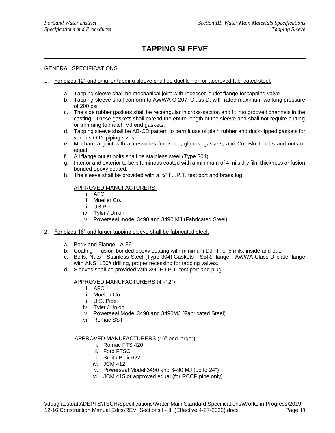## **TAPPING SLEEVE**

### GENERAL SPECIFICATIONS

- 1. For sizes 12" and smaller tapping sleeve shall be ductile iron or approved fabricated steel:
	- a. Tapping sleeve shall be mechanical joint with recessed outlet flange for tapping valve.
	- b. Tapping sleeve shall conform to AWWA C-207, Class D, with rated maximum working pressure of 200 psi.
	- c. The side rubber gaskets shall be rectangular in cross-section and fit into grooved channels in the casting. These gaskets shall extend the entire length of the sleeve and shall not require cutting or trimming to match MJ end gaskets.
	- d. Tapping sleeve shall be AB-CD pattern to permit use of plain rubber and duck-tipped gaskets for various O.D. piping sizes.
	- e. Mechanical joint with accessories furnished; glands, gaskets, and Cor-Blu T-bolts and nuts or equal.
	- f. All flange outlet bolts shall be stainless steel (Type 304).
	- g. Interior and exterior to be bituminous coated with a minimum of 4 mils dry film thickness or fusion bonded epoxy coated.
	- h. The sleeve shall be provided with a  $\frac{3}{4}$ " F.I.P.T. test port and brass lug.

### APPROVED MANUFACTURERS:

- i. AFC
- ii. Mueller Co.
- iii. US Pipe
- iv. Tyler / Union
- v. Powerseal model 3490 and 3490 MJ (Fabricated Steel)
- 2. For sizes 16" and larger tapping sleeve shall be fabricated steel:
	- a. Body and Flange A-36
	- b. Coating Fusion-bonded epoxy coating with minimum D.F.T. of 5 mils, inside and out.
	- c. Bolts, Nuts Stainless Steel (Type 304).Gaskets SBR.Flange AWWA Class D plate flange with ANSI 150# drilling, proper recessing for tapping valves.
	- d. Sleeves shall be provided with 3/4" F.I.P.T. test port and plug.

### APPROVED MANUFACTURERS (4"-12")

- i. AFC
- ii. Mueller Co.
- iii. U.S. Pipe
- iv. Tyler / Union
- v. Powerseal Model 3490 and 3490MJ (Fabricated Steel)
- vi. Romac SST

#### APPROVED MANUFACTURERS (16" and larger)

- i. Romac FTS 420
- ii. Ford FTSC
- iii. Smith Blair 622
- iv. JCM 412
- v. Powerseal Model 3490 and 3490 MJ (up to 24")
- vi. JCM 415 or approved equal (for RCCP pipe only)